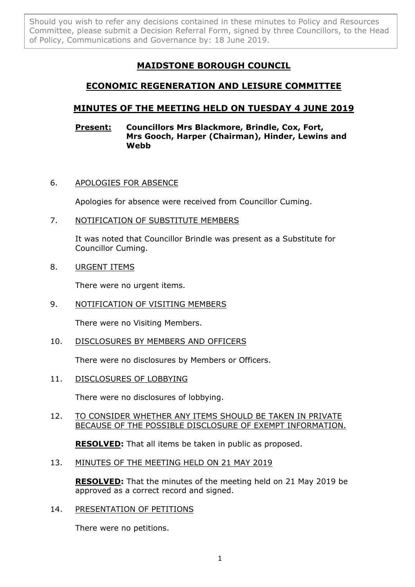Should you wish to refer any decisions contained in these minutes to Policy and Resources Committee, please submit a Decision Referral Form, signed by three Councillors, to the Head of Policy, Communications and Governance by: 18 June 2019.

# **MAIDSTONE BOROUGH COUNCIL**

## **ECONOMIC REGENERATION AND LEISURE COMMITTEE**

## **MINUTES OF THE MEETING HELD ON TUESDAY 4 JUNE 2019**

### **Present: Councillors Mrs Blackmore, Brindle, Cox, Fort, Mrs Gooch, Harper (Chairman), Hinder, Lewins and Webb**

## 6. APOLOGIES FOR ABSENCE

Apologies for absence were received from Councillor Cuming.

## 7. NOTIFICATION OF SUBSTITUTE MEMBERS

It was noted that Councillor Brindle was present as a Substitute for Councillor Cuming.

## 8. URGENT ITEMS

There were no urgent items.

## 9. NOTIFICATION OF VISITING MEMBERS

There were no Visiting Members.

#### 10. DISCLOSURES BY MEMBERS AND OFFICERS

There were no disclosures by Members or Officers.

#### 11. DISCLOSURES OF LOBBYING

There were no disclosures of lobbying.

## 12. TO CONSIDER WHETHER ANY ITEMS SHOULD BE TAKEN IN PRIVATE BECAUSE OF THE POSSIBLE DISCLOSURE OF EXEMPT INFORMATION.

**RESOLVED:** That all items be taken in public as proposed.

#### 13. MINUTES OF THE MEETING HELD ON 21 MAY 2019

**RESOLVED:** That the minutes of the meeting held on 21 May 2019 be approved as a correct record and signed.

14. PRESENTATION OF PETITIONS

There were no petitions.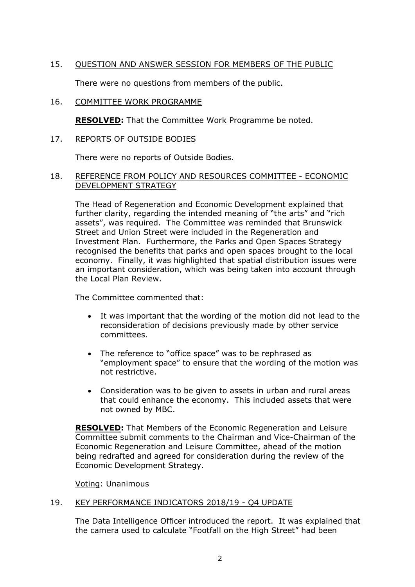## 15. QUESTION AND ANSWER SESSION FOR MEMBERS OF THE PUBLIC

There were no questions from members of the public.

## 16. COMMITTEE WORK PROGRAMME

**RESOLVED:** That the Committee Work Programme be noted.

### 17. REPORTS OF OUTSIDE BODIES

There were no reports of Outside Bodies.

### 18. REFERENCE FROM POLICY AND RESOURCES COMMITTEE - ECONOMIC DEVELOPMENT STRATEGY

The Head of Regeneration and Economic Development explained that further clarity, regarding the intended meaning of "the arts" and "rich assets", was required. The Committee was reminded that Brunswick Street and Union Street were included in the Regeneration and Investment Plan. Furthermore, the Parks and Open Spaces Strategy recognised the benefits that parks and open spaces brought to the local economy. Finally, it was highlighted that spatial distribution issues were an important consideration, which was being taken into account through the Local Plan Review.

The Committee commented that:

- It was important that the wording of the motion did not lead to the reconsideration of decisions previously made by other service committees.
- The reference to "office space" was to be rephrased as "employment space" to ensure that the wording of the motion was not restrictive.
- Consideration was to be given to assets in urban and rural areas that could enhance the economy. This included assets that were not owned by MBC.

**RESOLVED:** That Members of the Economic Regeneration and Leisure Committee submit comments to the Chairman and Vice-Chairman of the Economic Regeneration and Leisure Committee, ahead of the motion being redrafted and agreed for consideration during the review of the Economic Development Strategy.

Voting: Unanimous

#### 19. KEY PERFORMANCE INDICATORS 2018/19 - Q4 UPDATE

The Data Intelligence Officer introduced the report. It was explained that the camera used to calculate "Footfall on the High Street" had been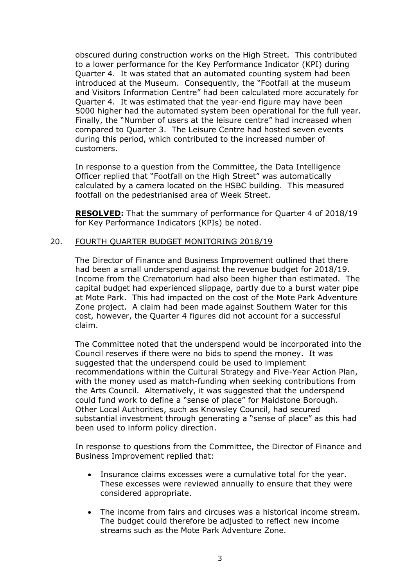obscured during construction works on the High Street. This contributed to a lower performance for the Key Performance Indicator (KPI) during Quarter 4. It was stated that an automated counting system had been introduced at the Museum. Consequently, the "Footfall at the museum and Visitors Information Centre" had been calculated more accurately for Quarter 4. It was estimated that the year-end figure may have been 5000 higher had the automated system been operational for the full year. Finally, the "Number of users at the leisure centre" had increased when compared to Quarter 3. The Leisure Centre had hosted seven events during this period, which contributed to the increased number of customers.

In response to a question from the Committee, the Data Intelligence Officer replied that "Footfall on the High Street" was automatically calculated by a camera located on the HSBC building. This measured footfall on the pedestrianised area of Week Street.

**RESOLVED:** That the summary of performance for Quarter 4 of 2018/19 for Key Performance Indicators (KPIs) be noted.

#### 20. FOURTH QUARTER BUDGET MONITORING 2018/19

The Director of Finance and Business Improvement outlined that there had been a small underspend against the revenue budget for 2018/19. Income from the Crematorium had also been higher than estimated. The capital budget had experienced slippage, partly due to a burst water pipe at Mote Park. This had impacted on the cost of the Mote Park Adventure Zone project. A claim had been made against Southern Water for this cost, however, the Quarter 4 figures did not account for a successful claim.

The Committee noted that the underspend would be incorporated into the Council reserves if there were no bids to spend the money. It was suggested that the underspend could be used to implement recommendations within the Cultural Strategy and Five-Year Action Plan, with the money used as match-funding when seeking contributions from the Arts Council. Alternatively, it was suggested that the underspend could fund work to define a "sense of place" for Maidstone Borough. Other Local Authorities, such as Knowsley Council, had secured substantial investment through generating a "sense of place" as this had been used to inform policy direction.

In response to questions from the Committee, the Director of Finance and Business Improvement replied that:

- Insurance claims excesses were a cumulative total for the year. These excesses were reviewed annually to ensure that they were considered appropriate.
- The income from fairs and circuses was a historical income stream. The budget could therefore be adjusted to reflect new income streams such as the Mote Park Adventure Zone.